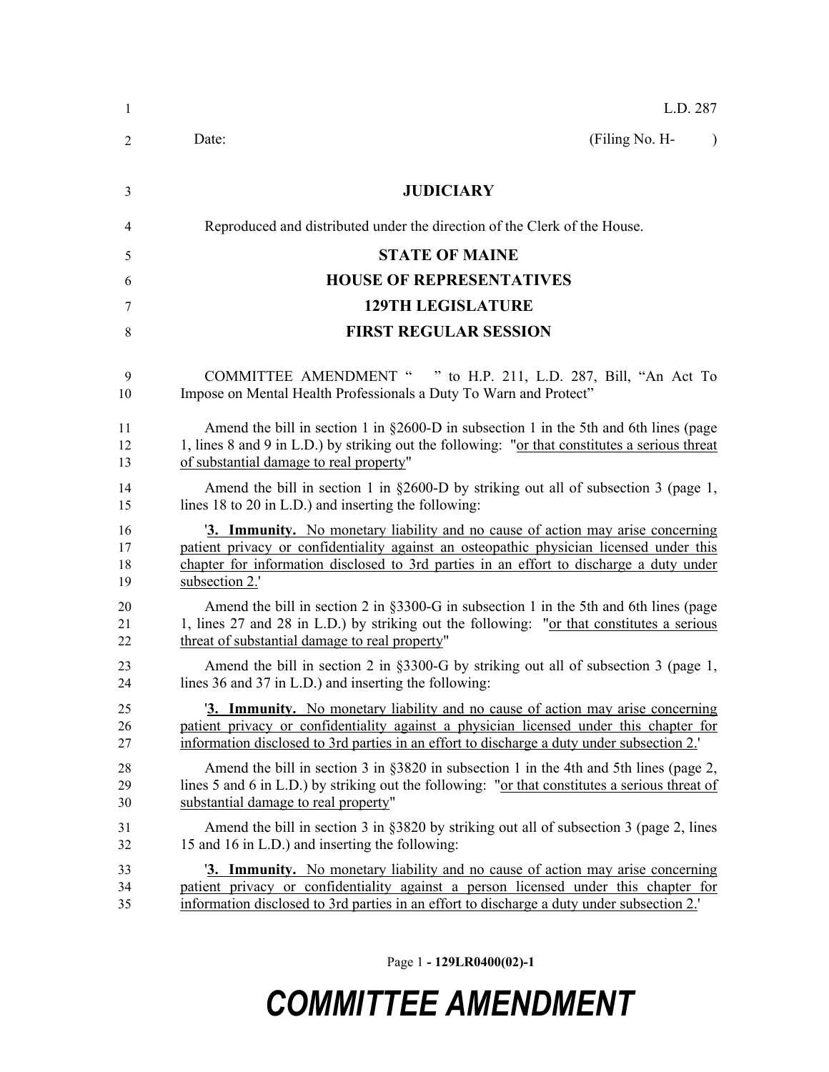| 1  | L.D. 287                                                                                       |
|----|------------------------------------------------------------------------------------------------|
| 2  | (Filing No. H-<br>Date:<br>$\lambda$                                                           |
| 3  | <b>JUDICIARY</b>                                                                               |
| 4  | Reproduced and distributed under the direction of the Clerk of the House.                      |
| 5  | <b>STATE OF MAINE</b>                                                                          |
| 6  | <b>HOUSE OF REPRESENTATIVES</b>                                                                |
| 7  | <b>129TH LEGISLATURE</b>                                                                       |
| 8  | <b>FIRST REGULAR SESSION</b>                                                                   |
| 9  | COMMITTEE AMENDMENT " " to H.P. 211, L.D. 287, Bill, "An Act To                                |
| 10 | Impose on Mental Health Professionals a Duty To Warn and Protect"                              |
| 11 | Amend the bill in section 1 in $\S 2600-D$ in subsection 1 in the 5th and 6th lines (page      |
| 12 | 1, lines 8 and 9 in L.D.) by striking out the following: "or that constitutes a serious threat |
| 13 | of substantial damage to real property"                                                        |
| 14 | Amend the bill in section 1 in $\S 2600-D$ by striking out all of subsection 3 (page 1,        |
| 15 | lines 18 to 20 in L.D.) and inserting the following:                                           |
| 16 | <b>3. Immunity.</b> No monetary liability and no cause of action may arise concerning          |
| 17 | patient privacy or confidentiality against an osteopathic physician licensed under this        |
| 18 | chapter for information disclosed to 3rd parties in an effort to discharge a duty under        |
| 19 | subsection 2.'                                                                                 |
| 20 | Amend the bill in section 2 in $\S 3300$ -G in subsection 1 in the 5th and 6th lines (page     |
| 21 | 1, lines 27 and 28 in L.D.) by striking out the following: "or that constitutes a serious      |
| 22 | threat of substantial damage to real property"                                                 |
| 23 | Amend the bill in section 2 in $\S 3300-G$ by striking out all of subsection 3 (page 1,        |
| 24 | lines 36 and 37 in L.D.) and inserting the following:                                          |
| 25 | <b>3. Immunity.</b> No monetary liability and no cause of action may arise concerning          |
| 26 | patient privacy or confidentiality against a physician licensed under this chapter for         |
| 27 | information disclosed to 3rd parties in an effort to discharge a duty under subsection 2.      |
| 28 | Amend the bill in section 3 in $\S 3820$ in subsection 1 in the 4th and 5th lines (page 2,     |
| 29 | lines 5 and 6 in L.D.) by striking out the following: "or that constitutes a serious threat of |
| 30 | substantial damage to real property"                                                           |
| 31 | Amend the bill in section 3 in §3820 by striking out all of subsection 3 (page 2, lines        |
| 32 | 15 and 16 in L.D.) and inserting the following:                                                |
| 33 | <b>3. Immunity.</b> No monetary liability and no cause of action may arise concerning          |
| 34 | patient privacy or confidentiality against a person licensed under this chapter for            |
| 35 | information disclosed to 3rd parties in an effort to discharge a duty under subsection 2.      |

Page 1 **- 129LR0400(02)-1**

## *COMMITTEE AMENDMENT*